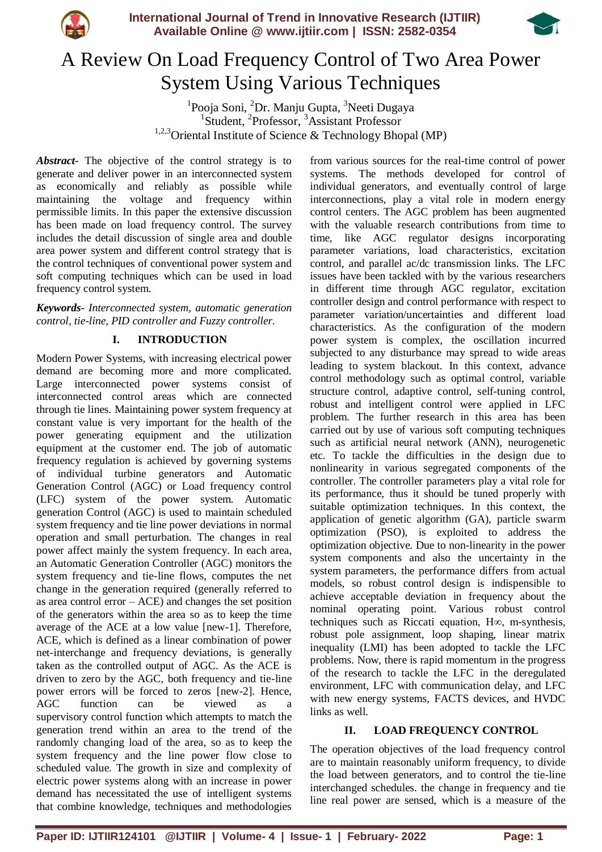



# A Review On Load Frequency Control of Two Area Power System Using Various Techniques

<sup>1</sup>Pooja Soni, <sup>2</sup>Dr. Manju Gupta, <sup>3</sup>Neeti Dugaya <sup>1</sup>Student, <sup>2</sup>Professor, <sup>3</sup>Assistant Professor 1,2,3Oriental Institute of Science & Technology Bhopal (MP)

*Abstract-* The objective of the control strategy is to generate and deliver power in an interconnected system as economically and reliably as possible while maintaining the voltage and frequency within permissible limits. In this paper the extensive discussion has been made on load frequency control. The survey includes the detail discussion of single area and double area power system and different control strategy that is the control techniques of conventional power system and soft computing techniques which can be used in load frequency control system.

*Keywords- Interconnected system, automatic generation control, tie-line, PID controller and Fuzzy controller.*

# **I. INTRODUCTION**

Modern Power Systems, with increasing electrical power demand are becoming more and more complicated. Large interconnected power systems consist of interconnected control areas which are connected through tie lines. Maintaining power system frequency at constant value is very important for the health of the power generating equipment and the utilization equipment at the customer end. The job of automatic frequency regulation is achieved by governing systems of individual turbine generators and Automatic Generation Control (AGC) or Load frequency control (LFC) system of the power system. Automatic generation Control (AGC) is used to maintain scheduled system frequency and tie line power deviations in normal operation and small perturbation. The changes in real power affect mainly the system frequency. In each area, an Automatic Generation Controller (AGC) monitors the system frequency and tie-line flows, computes the net change in the generation required (generally referred to as area control error  $-$  ACE) and changes the set position of the generators within the area so as to keep the time average of the ACE at a low value [new-1]. Therefore, ACE, which is defined as a linear combination of power net-interchange and frequency deviations, is generally taken as the controlled output of AGC. As the ACE is driven to zero by the AGC, both frequency and tie-line power errors will be forced to zeros [new-2]. Hence, AGC function can be viewed as supervisory control function which attempts to match the generation trend within an area to the trend of the randomly changing load of the area, so as to keep the system frequency and the line power flow close to scheduled value. The growth in size and complexity of electric power systems along with an increase in power demand has necessitated the use of intelligent systems that combine knowledge, techniques and methodologies

from various sources for the real-time control of power systems. The methods developed for control of individual generators, and eventually control of large interconnections, play a vital role in modern energy control centers. The AGC problem has been augmented with the valuable research contributions from time to time, like AGC regulator designs incorporating parameter variations, load characteristics, excitation control, and parallel ac/dc transmission links. The LFC issues have been tackled with by the various researchers in different time through AGC regulator, excitation controller design and control performance with respect to parameter variation/uncertainties and different load characteristics. As the configuration of the modern power system is complex, the oscillation incurred subjected to any disturbance may spread to wide areas leading to system blackout. In this context, advance control methodology such as optimal control, variable structure control, adaptive control, self-tuning control, robust and intelligent control were applied in LFC problem. The further research in this area has been carried out by use of various soft computing techniques such as artificial neural network (ANN), neurogenetic etc. To tackle the difficulties in the design due to nonlinearity in various segregated components of the controller. The controller parameters play a vital role for its performance, thus it should be tuned properly with suitable optimization techniques. In this context, the application of genetic algorithm (GA), particle swarm optimization (PSO), is exploited to address the optimization objective. Due to non-linearity in the power system components and also the uncertainty in the system parameters, the performance differs from actual models, so robust control design is indispensible to achieve acceptable deviation in frequency about the nominal operating point. Various robust control techniques such as Riccati equation, H∞, m-synthesis, robust pole assignment, loop shaping, linear matrix inequality (LMI) has been adopted to tackle the LFC problems. Now, there is rapid momentum in the progress of the research to tackle the LFC in the deregulated environment, LFC with communication delay, and LFC with new energy systems, FACTS devices, and HVDC links as well.

## **II. LOAD FREQUENCY CONTROL**

The operation objectives of the load frequency control are to maintain reasonably uniform frequency, to divide the load between generators, and to control the tie-line interchanged schedules. the change in frequency and tie line real power are sensed, which is a measure of the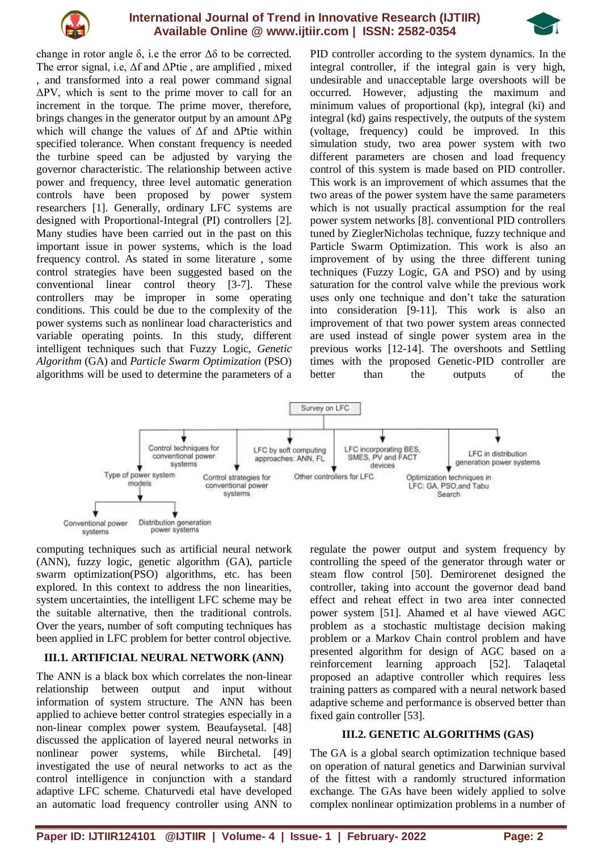

## **International Journal of Trend in Innovative Research (IJTIIR) Available Online @ www.ijtiir.com | ISSN: 2582-0354**



change in rotor angle  $\delta$ , i.e the error  $\Delta \delta$  to be corrected. The error signal, i.e,  $\Delta f$  and  $\Delta P$ tie, are amplified, mixed , and transformed into a real power command signal ΔPV, which is sent to the prime mover to call for an increment in the torque. The prime mover, therefore, brings changes in the generator output by an amount  $\Delta Pg$ which will change the values of Δf and ΔPtie within specified tolerance. When constant frequency is needed the turbine speed can be adjusted by varying the governor characteristic. The relationship between active power and frequency, three level automatic generation controls have been proposed by power system researchers [1]. Generally, ordinary LFC systems are designed with Proportional-Integral (PI) controllers [2]. Many studies have been carried out in the past on this important issue in power systems, which is the load frequency control. As stated in some literature , some control strategies have been suggested based on the conventional linear control theory [3-7]. These controllers may be improper in some operating conditions. This could be due to the complexity of the power systems such as nonlinear load characteristics and variable operating points. In this study, different intelligent techniques such that Fuzzy Logic, *Genetic Algorithm* (GA) and *Particle Swarm Optimization* (PSO) algorithms will be used to determine the parameters of a

PID controller according to the system dynamics. In the integral controller, if the integral gain is very high, undesirable and unacceptable large overshoots will be occurred. However, adjusting the maximum and minimum values of proportional (kp), integral (ki) and integral (kd) gains respectively, the outputs of the system (voltage, frequency) could be improved. In this simulation study, two area power system with two different parameters are chosen and load frequency control of this system is made based on PID controller. This work is an improvement of which assumes that the two areas of the power system have the same parameters which is not usually practical assumption for the real power system networks [8]. conventional PID controllers tuned by ZieglerNicholas technique, fuzzy technique and Particle Swarm Optimization. This work is also an improvement of by using the three different tuning techniques (Fuzzy Logic, GA and PSO) and by using saturation for the control valve while the previous work uses only one technique and don't take the saturation into consideration [9-11]. This work is also an improvement of that two power system areas connected are used instead of single power system area in the previous works [12-14]. The overshoots and Settling times with the proposed Genetic-PID controller are better than the outputs of the



computing techniques such as artificial neural network (ANN), fuzzy logic, genetic algorithm (GA), particle swarm optimization(PSO) algorithms, etc. has been explored. In this context to address the non linearities, system uncertainties, the intelligent LFC scheme may be the suitable alternative, then the traditional controls. Over the years, number of soft computing techniques has been applied in LFC problem for better control objective.

# **III.1. ARTIFICIAL NEURAL NETWORK (ANN)**

The ANN is a black box which correlates the non-linear relationship between output and input without information of system structure. The ANN has been applied to achieve better control strategies especially in a non-linear complex power system. Beaufaysetal. [48] discussed the application of layered neural networks in nonlinear power systems, while Birchetal. [49] investigated the use of neural networks to act as the control intelligence in conjunction with a standard adaptive LFC scheme. Chaturvedi etal have developed an automatic load frequency controller using ANN to

regulate the power output and system frequency by controlling the speed of the generator through water or steam flow control [50]. Demirorenet designed the controller, taking into account the governor dead band effect and reheat effect in two area inter connected power system [51]. Ahamed et al have viewed AGC problem as a stochastic multistage decision making problem or a Markov Chain control problem and have presented algorithm for design of AGC based on a reinforcement learning approach [52]. Talaqetal proposed an adaptive controller which requires less training patters as compared with a neural network based adaptive scheme and performance is observed better than fixed gain controller [53].

## **III.2. GENETIC ALGORITHMS (GAS)**

The GA is a global search optimization technique based on operation of natural genetics and Darwinian survival of the fittest with a randomly structured information exchange. The GAs have been widely applied to solve complex nonlinear optimization problems in a number of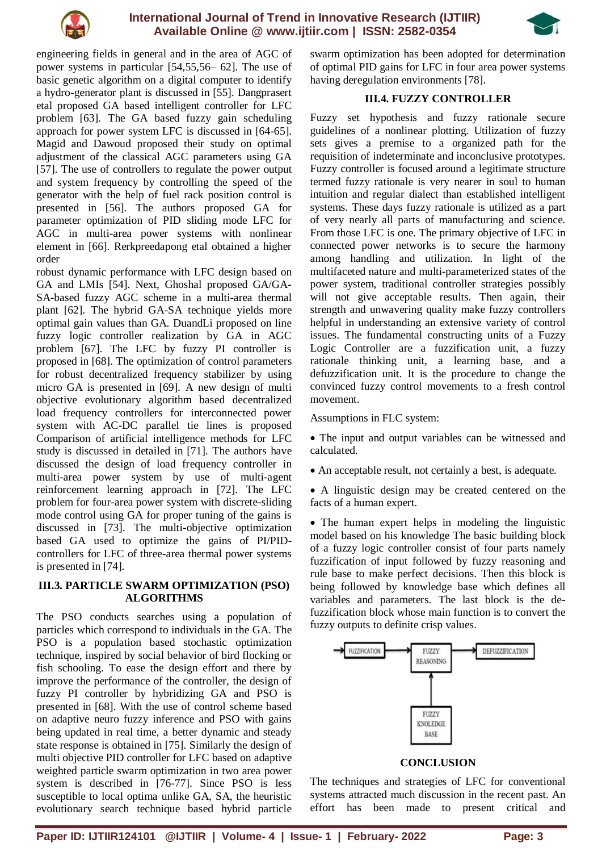

## **International Journal of Trend in Innovative Research (IJTIIR) Available Online @ www.ijtiir.com | ISSN: 2582-0354**



engineering fields in general and in the area of AGC of power systems in particular [54,55,56– 62]. The use of basic genetic algorithm on a digital computer to identify a hydro-generator plant is discussed in [55]. Dangprasert etal proposed GA based intelligent controller for LFC problem [63]. The GA based fuzzy gain scheduling approach for power system LFC is discussed in [64-65]. Magid and Dawoud proposed their study on optimal adjustment of the classical AGC parameters using GA [57]. The use of controllers to regulate the power output and system frequency by controlling the speed of the generator with the help of fuel rack position control is presented in [56]. The authors proposed GA for parameter optimization of PID sliding mode LFC for AGC in multi-area power systems with nonlinear element in [66]. Rerkpreedapong etal obtained a higher order

robust dynamic performance with LFC design based on GA and LMIs [54]. Next, Ghoshal proposed GA/GA-SA-based fuzzy AGC scheme in a multi-area thermal plant [62]. The hybrid GA-SA technique yields more optimal gain values than GA. DuandLi proposed on line fuzzy logic controller realization by GA in AGC problem [67]. The LFC by fuzzy PI controller is proposed in [68]. The optimization of control parameters for robust decentralized frequency stabilizer by using micro GA is presented in [69]. A new design of multi objective evolutionary algorithm based decentralized load frequency controllers for interconnected power system with AC-DC parallel tie lines is proposed Comparison of artificial intelligence methods for LFC study is discussed in detailed in [71]. The authors have discussed the design of load frequency controller in multi-area power system by use of multi-agent reinforcement learning approach in [72]. The LFC problem for four-area power system with discrete-sliding mode control using GA for proper tuning of the gains is discussed in [73]. The multi-objective optimization based GA used to optimize the gains of PI/PIDcontrollers for LFC of three-area thermal power systems is presented in [74].

#### **III.3. PARTICLE SWARM OPTIMIZATION (PSO) ALGORITHMS**

The PSO conducts searches using a population of particles which correspond to individuals in the GA. The PSO is a population based stochastic optimization technique, inspired by social behavior of bird flocking or fish schooling. To ease the design effort and there by improve the performance of the controller, the design of fuzzy PI controller by hybridizing GA and PSO is presented in [68]. With the use of control scheme based on adaptive neuro fuzzy inference and PSO with gains being updated in real time, a better dynamic and steady state response is obtained in [75]. Similarly the design of multi objective PID controller for LFC based on adaptive weighted particle swarm optimization in two area power system is described in [76-77]. Since PSO is less susceptible to local optima unlike GA, SA, the heuristic evolutionary search technique based hybrid particle

swarm optimization has been adopted for determination of optimal PID gains for LFC in four area power systems having deregulation environments [78].

#### **III.4. FUZZY CONTROLLER**

Fuzzy set hypothesis and fuzzy rationale secure guidelines of a nonlinear plotting. Utilization of fuzzy sets gives a premise to a organized path for the requisition of indeterminate and inconclusive prototypes. Fuzzy controller is focused around a legitimate structure termed fuzzy rationale is very nearer in soul to human intuition and regular dialect than established intelligent systems. These days fuzzy rationale is utilized as a part of very nearly all parts of manufacturing and science. From those LFC is one. The primary objective of LFC in connected power networks is to secure the harmony among handling and utilization. In light of the multifaceted nature and multi-parameterized states of the power system, traditional controller strategies possibly will not give acceptable results. Then again, their strength and unwavering quality make fuzzy controllers helpful in understanding an extensive variety of control issues. The fundamental constructing units of a Fuzzy Logic Controller are a fuzzification unit, a fuzzy rationale thinking unit, a learning base, and a defuzzification unit. It is the procedure to change the convinced fuzzy control movements to a fresh control movement.

Assumptions in FLC system:

• The input and output variables can be witnessed and calculated.

- An acceptable result, not certainly a best, is adequate.
- A linguistic design may be created centered on the facts of a human expert.

• The human expert helps in modeling the linguistic model based on his knowledge The basic building block of a fuzzy logic controller consist of four parts namely fuzzification of input followed by fuzzy reasoning and rule base to make perfect decisions. Then this block is being followed by knowledge base which defines all variables and parameters. The last block is the defuzzification block whose main function is to convert the fuzzy outputs to definite crisp values.



## **CONCLUSION**

The techniques and strategies of LFC for conventional systems attracted much discussion in the recent past. An effort has been made to present critical and